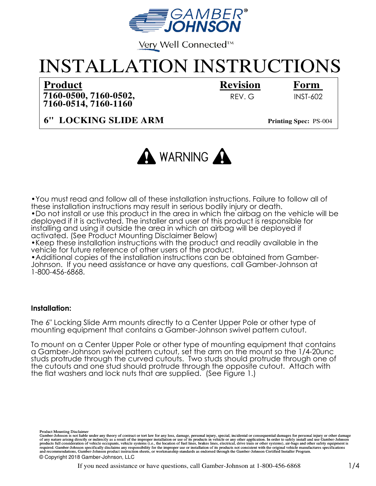

Very Well Connected™

# INSTALLATION INSTRUCTIONS

# **Product Revision**

**7160-0514, 7160-1160 7160-0500, 7160-0502,** 

# **Form**

REV. G INST-602

**6" LOCKING SLIDE ARM**

**Printing Spec:** PS-004



•You must read and follow all of these installation instructions. Failure to follow all of these installation instructions may result in serious bodily injury or death.

•Do not install or use this product in the area in which the airbag on the vehicle will be deployed if it is activated. The installer and user of this product is responsible for installing and using it outside the area in which an airbag will be deployed if activated. (See Product Mounting Disclaimer Below)

•Keep these installation instructions with the product and readily available in the vehicle for future reference of other users of the product.

•Additional copies of the installation instructions can be obtained from Gamber-Johnson. If you need assistance or have any questions, call Gamber-Johnson at 1-800-456-6868.

#### **Installation:**

The 6" Locking Slide Arm mounts directly to a Center Upper Pole or other type of mounting equipment that contains a Gamber-Johnson swivel pattern cutout.

To mount on a Center Upper Pole or other type of mounting equipment that contains a Gamber-Johnson swivel pattern cutout, set the arm on the mount so the 1/4-20unc studs protrude through the curved cutouts. Two studs should protrude through one of the cutouts and one stud should protrude through the opposite cutout. Attach with the flat washers and lock nuts that are supplied. (See Figure 1.)

required. Gamber-Johnson specifically disclaims any responsibility for the improper use or installation of its products not consistent with the original vehicle manufactures specifications Product Mounting Disclaimer<br>Gamber-Johnson is not liable under any theory of contract or tort law for any loss, damage, personal injury, special, incidental or consequential damages for personal injury or other damage<br>of a and recommendations, Gamber-Johnson product instruction sheets, or workmanship standards as endorsed through the Gamber-Johnson Certified Installer Program. © Copyright 2018 Gamber-Johnson, LLC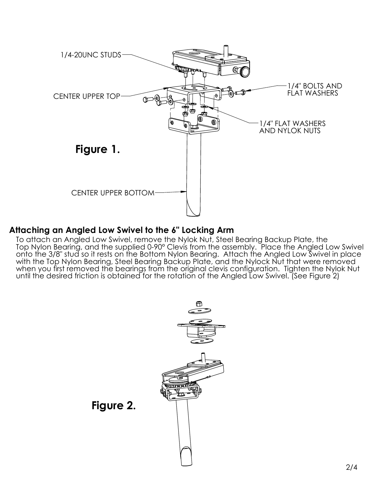

## **Attaching an Angled Low Swivel to the 6" Locking Arm**

To attach an Angled Low Swivel, remove the Nylok Nut, Steel Bearing Backup Plate, the Top Nylon Bearing, and the supplied 0-90° Clevis from the assembly. Place the Angled Low Swivel onto the 3/8" stud so it rests on the Bottom Nylon Bearing. Attach the Angled Low Swivel in place with the Top Nylon Bearing, Steel Bearing Backup Plate, and the Nylock Nut that were removed when you first removed the bearings from the original clevis configuration. Tighten the Nylok Nut until the desired friction is obtained for the rotation of the Angled Low Swivel. (See Figure 2)



**Figure 2.**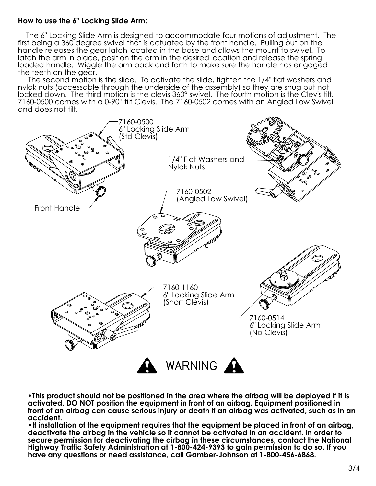#### **How to use the 6" Locking Slide Arm:**

 The 6" Locking Slide Arm is designed to accommodate four motions of adjustment. The first being a 360 degree swivel that is actuated by the front handle. Pulling out on the handle releases the gear latch located in the base and allows the mount to swivel. To latch the arm in place, position the arm in the desired location and release the spring loaded handle. Wiggle the arm back and forth to make sure the handle has engaged the teeth on the gear.

 The second motion is the slide. To activate the slide, tighten the 1/4" flat washers and nylok nuts (accessable through the underside of the assembly) so they are snug but not locked down. The third motion is the clevis 360° swivel. The fourth motion is the Clevis tilt. 7160-0500 comes with a 0-90° tilt Clevis. The 7160-0502 comes with an Angled Low Swivel and does not tilt.



**•This product should not be positioned in the area where the airbag will be deployed if it is activated. DO NOT position the equipment in front of an airbag. Equipment positioned in front of an airbag can cause serious injury or death if an airbag was activated, such as in an accident.**

**•If installation of the equipment requires that the equipment be placed in front of an airbag, deactivate the airbag in the vehicle so it cannot be activated in an accident. In order to secure permission for deactivating the airbag in these circumstances, contact the National Highway Traffic Safety Administration at 1-800-424-9393 to gain permission to do so. If you have any questions or need assistance, call Gamber-Johnson at 1-800-456-6868.**